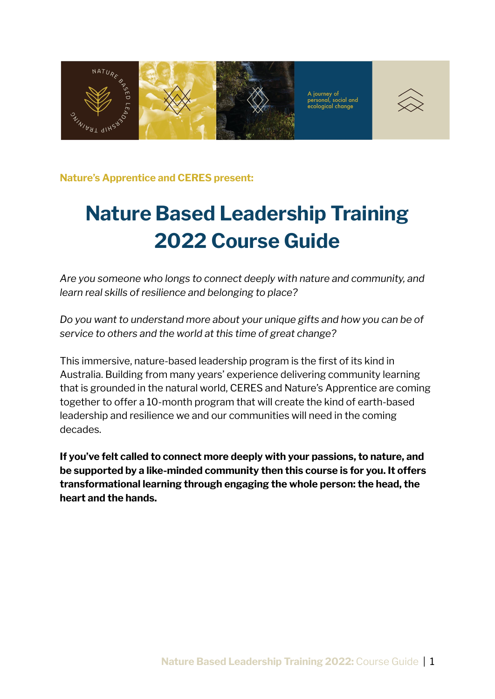

**Nature's Apprentice and CERES present:**

# **Nature Based Leadership Training 2022 Course Guide**

*Are you someone who longs to connect deeply with nature and community, and learn real skills of resilience and belonging to place?*

*Do you want to understand more about your unique gifts and how you can be of service to others and the world at this time of great change?*

This immersive, nature-based leadership program is the first of its kind in Australia. Building from many years' experience delivering community learning that is grounded in the natural world, CERES and Nature's Apprentice are coming together to offer a 10-month program that will create the kind of earth-based leadership and resilience we and our communities will need in the coming decades.

**If you've felt called to connect more deeply with your passions, to nature, and be supported by a like-minded community then this course is for you. It offers transformational learning through engaging the whole person: the head, the heart and the hands.**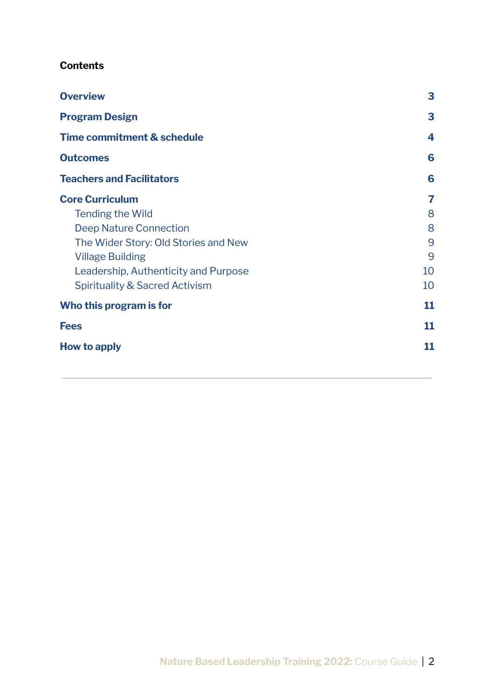#### **Contents**

| <b>Overview</b>                           | 3  |
|-------------------------------------------|----|
| <b>Program Design</b>                     | 3  |
| <b>Time commitment &amp; schedule</b>     | 4  |
| <b>Outcomes</b>                           | 6  |
| <b>Teachers and Facilitators</b>          | 6  |
| <b>Core Curriculum</b>                    | 7  |
| <b>Tending the Wild</b>                   | 8  |
| <b>Deep Nature Connection</b>             | 8  |
| The Wider Story: Old Stories and New      | 9  |
| <b>Village Building</b>                   | 9  |
| Leadership, Authenticity and Purpose      | 10 |
| <b>Spirituality &amp; Sacred Activism</b> | 10 |
| Who this program is for                   | 11 |
| <b>Fees</b>                               | 11 |
| <b>How to apply</b>                       | 11 |
|                                           |    |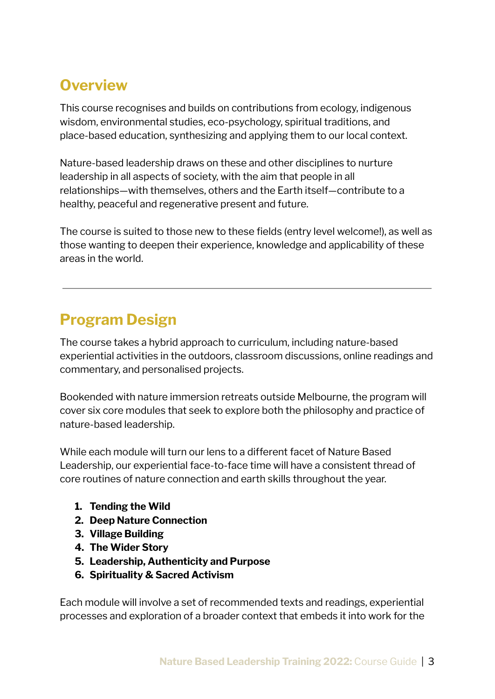# <span id="page-2-0"></span>**Overview**

This course recognises and builds on contributions from ecology, indigenous wisdom, environmental studies, eco-psychology, spiritual traditions, and place-based education, synthesizing and applying them to our local context.

Nature-based leadership draws on these and other disciplines to nurture leadership in all aspects of society, with the aim that people in all relationships—with themselves, others and the Earth itself—contribute to a healthy, peaceful and regenerative present and future.

The course is suited to those new to these fields (entry level welcome!), as well as those wanting to deepen their experience, knowledge and applicability of these areas in the world.

# <span id="page-2-1"></span>**Program Design**

The course takes a hybrid approach to curriculum, including nature-based experiential activities in the outdoors, classroom discussions, online readings and commentary, and personalised projects.

Bookended with nature immersion retreats outside Melbourne, the program will cover six core modules that seek to explore both the philosophy and practice of nature-based leadership.

While each module will turn our lens to a different facet of Nature Based Leadership, our experiential face-to-face time will have a consistent thread of core routines of nature connection and earth skills throughout the year.

- **1. Tending the Wild**
- **2. Deep Nature Connection**
- **3. Village Building**
- **4. The Wider Story**
- **5. Leadership, Authenticity and Purpose**
- **6. Spirituality & Sacred Activism**

Each module will involve a set of recommended texts and readings, experiential processes and exploration of a broader context that embeds it into work for the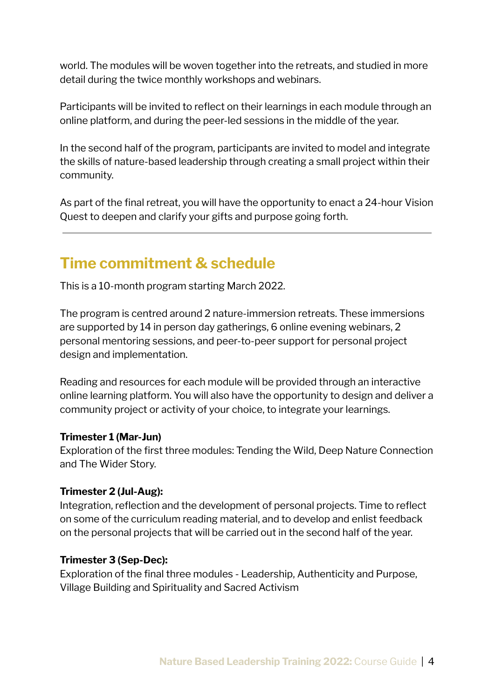world. The modules will be woven together into the retreats, and studied in more detail during the twice monthly workshops and webinars.

Participants will be invited to reflect on their learnings in each module through an online platform, and during the peer-led sessions in the middle of the year.

In the second half of the program, participants are invited to model and integrate the skills of nature-based leadership through creating a small project within their community.

As part of the final retreat, you will have the opportunity to enact a 24-hour Vision Quest to deepen and clarify your gifts and purpose going forth.

### <span id="page-3-0"></span>**Time commitment & schedule**

This is a 10-month program starting March 2022.

The program is centred around 2 nature-immersion retreats. These immersions are supported by 14 in person day gatherings, 6 online evening webinars, 2 personal mentoring sessions, and peer-to-peer support for personal project design and implementation.

Reading and resources for each module will be provided through an interactive online learning platform. You will also have the opportunity to design and deliver a community project or activity of your choice, to integrate your learnings.

#### **Trimester 1 (Mar-Jun)**

Exploration of the first three modules: Tending the Wild, Deep Nature Connection and The Wider Story.

#### **Trimester 2 (Jul-Aug):**

Integration, reflection and the development of personal projects. Time to reflect on some of the curriculum reading material, and to develop and enlist feedback on the personal projects that will be carried out in the second half of the year.

#### **Trimester 3 (Sep-Dec):**

Exploration of the final three modules - Leadership, Authenticity and Purpose, Village Building and Spirituality and Sacred Activism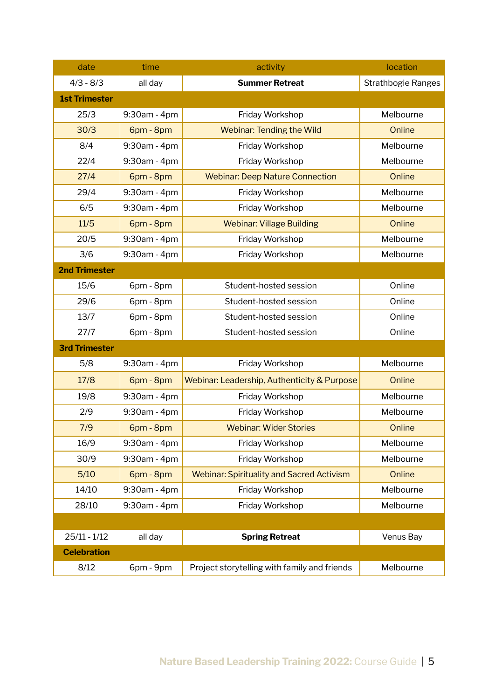| date                 | time         | activity                                         | location                  |
|----------------------|--------------|--------------------------------------------------|---------------------------|
| $4/3 - 8/3$          | all day      | <b>Summer Retreat</b>                            | <b>Strathbogie Ranges</b> |
| <b>1st Trimester</b> |              |                                                  |                           |
| 25/3                 | 9:30am - 4pm | Friday Workshop                                  | Melbourne                 |
| 30/3                 | 6pm - 8pm    | <b>Webinar: Tending the Wild</b>                 | Online                    |
| 8/4                  | 9:30am - 4pm | Friday Workshop                                  | Melbourne                 |
| 22/4                 | 9:30am - 4pm | Friday Workshop                                  | Melbourne                 |
| 27/4                 | 6pm - 8pm    | <b>Webinar: Deep Nature Connection</b>           | Online                    |
| 29/4                 | 9:30am - 4pm | Friday Workshop                                  | Melbourne                 |
| 6/5                  | 9:30am - 4pm | Friday Workshop                                  | Melbourne                 |
| 11/5                 | 6pm - 8pm    | <b>Webinar: Village Building</b>                 | Online                    |
| 20/5                 | 9:30am - 4pm | Friday Workshop                                  | Melbourne                 |
| 3/6                  | 9:30am - 4pm | Friday Workshop                                  | Melbourne                 |
| <b>2nd Trimester</b> |              |                                                  |                           |
| 15/6                 | 6pm - 8pm    | Student-hosted session                           | Online                    |
| 29/6                 | 6pm - 8pm    | Student-hosted session                           | Online                    |
| 13/7                 | 6pm - 8pm    | Student-hosted session                           | Online                    |
| 27/7                 | 6pm - 8pm    | Student-hosted session                           | Online                    |
| <b>3rd Trimester</b> |              |                                                  |                           |
| 5/8                  | 9:30am - 4pm | Friday Workshop                                  | Melbourne                 |
| 17/8                 | 6pm - 8pm    | Webinar: Leadership, Authenticity & Purpose      | Online                    |
| 19/8                 | 9:30am - 4pm | Friday Workshop                                  | Melbourne                 |
| 2/9                  | 9:30am - 4pm | Friday Workshop                                  | Melbourne                 |
| 7/9                  | 6pm - 8pm    | <b>Webinar: Wider Stories</b>                    | Online                    |
| 16/9                 | 9:30am - 4pm | Friday Workshop                                  | Melbourne                 |
| 30/9                 | 9:30am - 4pm | Friday Workshop                                  | Melbourne                 |
| 5/10                 | 6pm - 8pm    | <b>Webinar: Spirituality and Sacred Activism</b> | Online                    |
| 14/10                | 9:30am - 4pm | Friday Workshop                                  | Melbourne                 |
| 28/10                | 9:30am - 4pm | Friday Workshop                                  | Melbourne                 |
|                      |              |                                                  |                           |
| $25/11 - 1/12$       | all day      | <b>Spring Retreat</b>                            | Venus Bay                 |
| <b>Celebration</b>   |              |                                                  |                           |
| 8/12                 | 6pm - 9pm    | Project storytelling with family and friends     | Melbourne                 |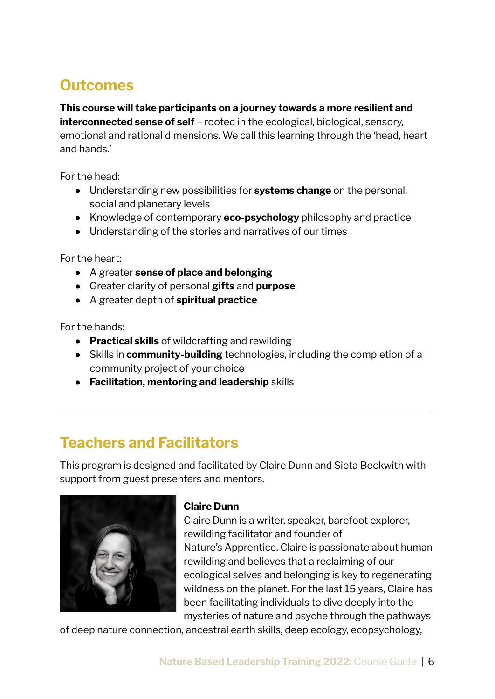# <span id="page-5-0"></span>**Outcomes**

**This course will take participants on a journey towards a more resilient and interconnected sense of self** – rooted in the ecological, biological, sensory, emotional and rational dimensions. We call this learning through the 'head, heart and hands.'

For the head:

- Understanding new possibilities for **systems change** on the personal, social and planetary levels
- Knowledge of contemporary **eco-psychology** philosophy and practice
- Understanding of the stories and narratives of our times

For the heart:

- **●** A greater **sense of place and belonging**
- **●** Greater clarity of personal **gifts** and **purpose**
- **●** A greater depth of **spiritual practice**

For the hands:

- **Practical skills** of wildcrafting and rewilding
- **●** Skills in **community-building** technologies, including the completion of a community project of your choice
- **Facilitation, mentoring and leadership** skills

## <span id="page-5-1"></span>**Teachers and Facilitators**

This program is designed and facilitated by Claire Dunn and Sieta Beckwith with support from guest presenters and mentors.



#### **Claire Dunn**

Claire Dunn is a writer, speaker, barefoot explorer, rewilding facilitator and founder of Nature's Apprentice. Claire is passionate about human rewilding and believes that a reclaiming of our ecological selves and belonging is key to regenerating wildness on the planet. For the last 15 years, Claire has been facilitating individuals to dive deeply into the mysteries of nature and psyche through the pathways

of deep nature connection, ancestral earth skills, deep ecology, ecopsychology,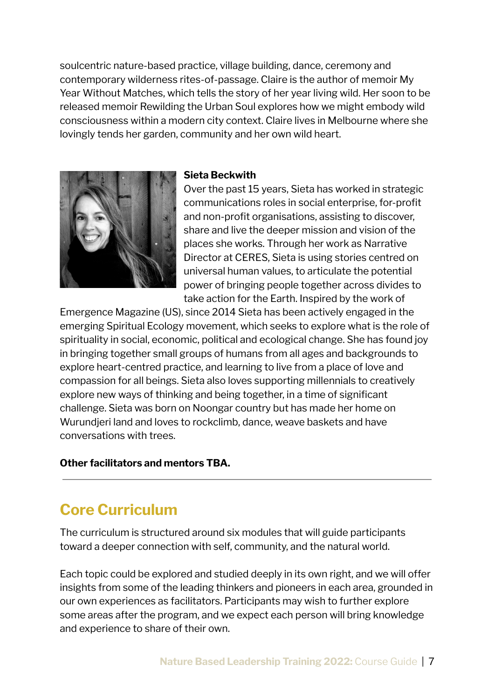soulcentric nature-based practice, village building, dance, ceremony and contemporary wilderness rites-of-passage. Claire is the author of memoir My Year Without Matches, which tells the story of her year living wild. Her soon to be released memoir Rewilding the Urban Soul explores how we might embody wild consciousness within a modern city context. Claire lives in Melbourne where she lovingly tends her garden, community and her own wild heart.



#### **Sieta Beckwith**

Over the past 15 years, Sieta has worked in strategic communications roles in social enterprise, for-profit and non-profit organisations, assisting to discover, share and live the deeper mission and vision of the places she works. Through her work as Narrative Director at CERES, Sieta is using stories centred on universal human values, to articulate the potential power of bringing people together across divides to take action for the Earth. Inspired by the work of

Emergence Magazine (US), since 2014 Sieta has been actively engaged in the emerging Spiritual Ecology movement, which seeks to explore what is the role of spirituality in social, economic, political and ecological change. She has found joy in bringing together small groups of humans from all ages and backgrounds to explore heart-centred practice, and learning to live from a place of love and compassion for all beings. Sieta also loves supporting millennials to creatively explore new ways of thinking and being together, in a time of significant challenge. Sieta was born on Noongar country but has made her home on Wurundjeri land and loves to rockclimb, dance, weave baskets and have conversations with trees.

#### **Other facilitators and mentors TBA.**

### <span id="page-6-0"></span>**Core Curriculum**

The curriculum is structured around six modules that will guide participants toward a deeper connection with self, community, and the natural world.

Each topic could be explored and studied deeply in its own right, and we will offer insights from some of the leading thinkers and pioneers in each area, grounded in our own experiences as facilitators. Participants may wish to further explore some areas after the program, and we expect each person will bring knowledge and experience to share of their own.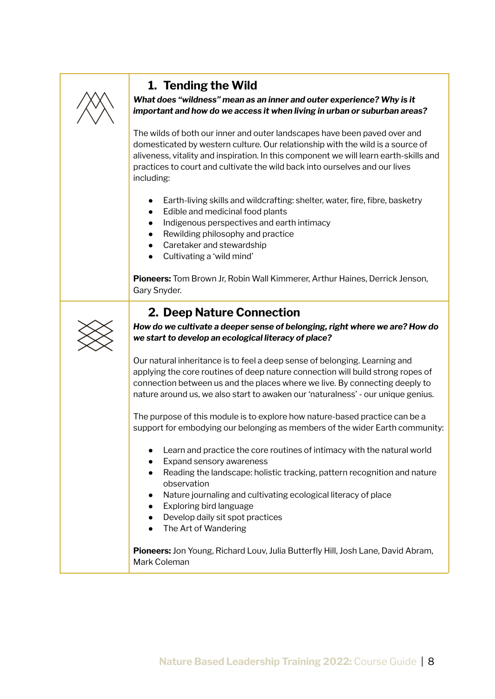

### <span id="page-7-0"></span>**1. Tending the Wild**

*What does "wildness" mean as an inner and outer experience? Why is it important and how do we access it when living in urban or suburban areas?*

The wilds of both our inner and outer landscapes have been paved over and domesticated by western culture. Our relationship with the wild is a source of aliveness, vitality and inspiration. In this component we will learn earth-skills and practices to court and cultivate the wild back into ourselves and our lives including:

- Earth-living skills and wildcrafting: shelter, water, fire, fibre, basketry
- Edible and medicinal food plants
- Indigenous perspectives and earth intimacy
- Rewilding philosophy and practice
- Caretaker and stewardship
- Cultivating a 'wild mind'

**Pioneers:** Tom Brown Jr, Robin Wall Kimmerer, Arthur Haines, Derrick Jenson, Gary Snyder.

### <span id="page-7-1"></span>**2. Deep Nature Connection**



*How do we cultivate a deeper sense of belonging, right where we are? How do we start to develop an ecological literacy of place?*

Our natural inheritance is to feel a deep sense of belonging. Learning and applying the core routines of deep nature connection will build strong ropes of connection between us and the places where we live. By connecting deeply to nature around us, we also start to awaken our 'naturalness' - our unique genius.

The purpose of this module is to explore how nature-based practice can be a support for embodying our belonging as members of the wider Earth community:

- Learn and practice the core routines of intimacy with the natural world
- Expand sensory awareness
- Reading the landscape: holistic tracking, pattern recognition and nature observation
- Nature journaling and cultivating ecological literacy of place
- Exploring bird language
- Develop daily sit spot practices
- The Art of Wandering

**Pioneers:** Jon Young, Richard Louv, Julia Butterfly Hill, Josh Lane, David Abram, Mark Coleman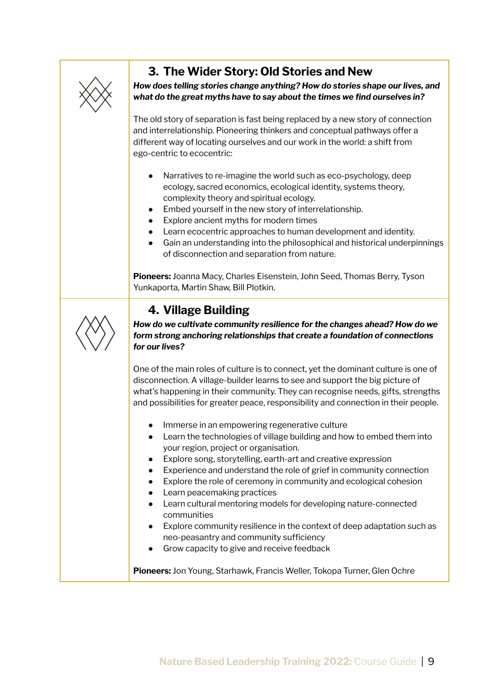

### <span id="page-8-0"></span>**3. The Wider Story: Old Stories and New**

*How does telling stories change anything? How do stories shape our lives, and what do the great myths have to say about the times we find ourselves in?*

The old story of separation is fast being replaced by a new story of connection and interrelationship. Pioneering thinkers and conceptual pathways offer a different way of locating ourselves and our work in the world: a shift from ego-centric to ecocentric:

- Narratives to re-imagine the world such as eco-psychology, deep ecology, sacred economics, ecological identity, systems theory, complexity theory and spiritual ecology.
- Embed yourself in the new story of interrelationship.
- Explore ancient myths for modern times
- Learn ecocentric approaches to human development and identity.
- Gain an understanding into the philosophical and historical underpinnings of disconnection and separation from nature.

**Pioneers:** Joanna Macy, Charles Eisenstein, John Seed, Thomas Berry, Tyson Yunkaporta, Martin Shaw, Bill Plotkin.

### <span id="page-8-1"></span>**4. Village Building**

*How do we cultivate community resilience for the changes ahead? How do we form strong anchoring relationships that create a foundation of connections for our lives?*

One of the main roles of culture is to connect, yet the dominant culture is one of disconnection. A village-builder learns to see and support the big picture of what's happening in their community. They can recognise needs, gifts, strengths and possibilities for greater peace, responsibility and connection in their people.

- Immerse in an empowering regenerative culture
- Learn the technologies of village building and how to embed them into your region, project or organisation.
- Explore song, storytelling, earth-art and creative expression
- Experience and understand the role of grief in community connection
- Explore the role of ceremony in community and ecological cohesion
- Learn peacemaking practices
- Learn cultural mentoring models for developing nature-connected communities
- Explore community resilience in the context of deep adaptation such as neo-peasantry and community sufficiency
- Grow capacity to give and receive feedback

**Pioneers:** Jon Young, Starhawk, Francis Weller, Tokopa Turner, Glen Ochre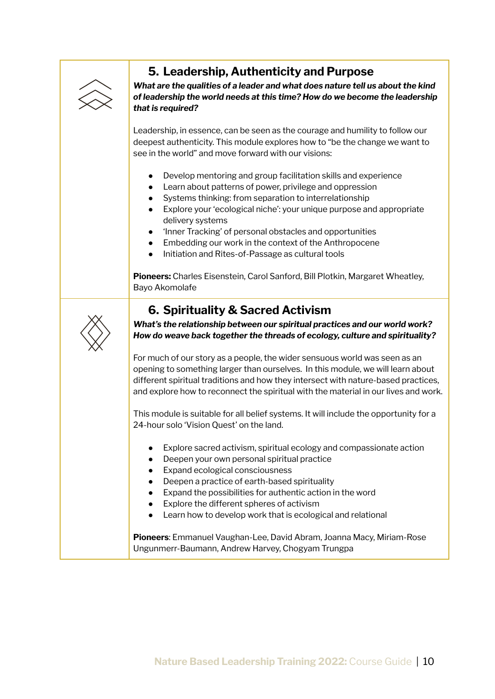

### <span id="page-9-0"></span>**5. Leadership, Authenticity and Purpose**

*What are the qualities of a leader and what does nature tell us about the kind of leadership the world needs at this time? How do we become the leadership that is required?*

Leadership, in essence, can be seen as the courage and humility to follow our deepest authenticity. This module explores how to "be the change we want to see in the world" and move forward with our visions:

- Develop mentoring and group facilitation skills and experience
- Learn about patterns of power, privilege and oppression
- Systems thinking: from separation to interrelationship
- Explore your 'ecological niche': your unique purpose and appropriate delivery systems
- 'Inner Tracking' of personal obstacles and opportunities
- Embedding our work in the context of the Anthropocene
- Initiation and Rites-of-Passage as cultural tools

**Pioneers:** Charles Eisenstein, Carol Sanford, Bill Plotkin, Margaret Wheatley, Bayo Akomolafe

### <span id="page-9-1"></span>**6. Spirituality & Sacred Activism**



*What's the relationship between our spiritual practices and our world work? How do weave back together the threads of ecology, culture and spirituality?*

For much of our story as a people, the wider sensuous world was seen as an opening to something larger than ourselves. In this module, we will learn about different spiritual traditions and how they intersect with nature-based practices, and explore how to reconnect the spiritual with the material in our lives and work.

This module is suitable for all belief systems. It will include the opportunity for a 24-hour solo 'Vision Quest' on the land.

- Explore sacred activism, spiritual ecology and compassionate action
- Deepen your own personal spiritual practice
- Expand ecological consciousness
- Deepen a practice of earth-based spirituality
- Expand the possibilities for authentic action in the word
- Explore the different spheres of activism
- Learn how to develop work that is ecological and relational

**Pioneers**: Emmanuel Vaughan-Lee, David Abram, Joanna Macy, Miriam-Rose Ungunmerr-Baumann, Andrew Harvey, Chogyam Trungpa